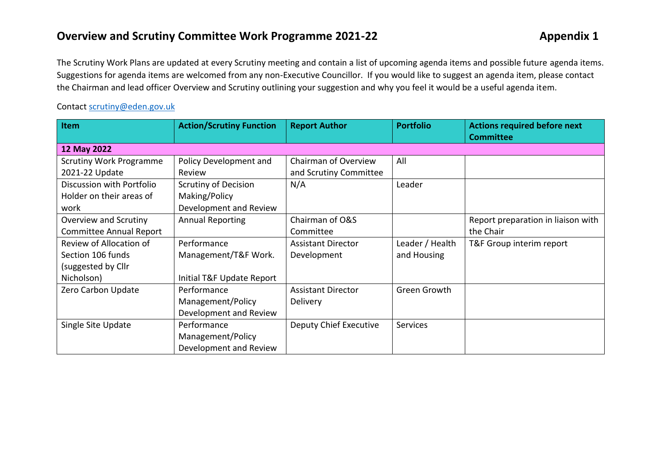## **Overview and Scrutiny Committee Work Programme 2021-22 Appendix 1** Appendix 1

The Scrutiny Work Plans are updated at every Scrutiny meeting and contain a list of upcoming agenda items and possible future agenda items. Suggestions for agenda items are welcomed from any non-Executive Councillor. If you would like to suggest an agenda item, please contact the Chairman and lead officer Overview and Scrutiny outlining your suggestion and why you feel it would be a useful agenda item.

## Contact [scrutiny@eden.gov.uk](file:///C:/Users/Les.Clark/AppData/Local/Microsoft/Windows/INetCache/Content.Outlook/E9RTD00W/scrutiny@eden.gov.uk)

| Item                            | <b>Action/Scrutiny Function</b> | <b>Report Author</b>      | <b>Portfolio</b> | <b>Actions required before next</b> |  |  |  |
|---------------------------------|---------------------------------|---------------------------|------------------|-------------------------------------|--|--|--|
| <b>Committee</b><br>12 May 2022 |                                 |                           |                  |                                     |  |  |  |
| <b>Scrutiny Work Programme</b>  | Policy Development and          | Chairman of Overview      | All              |                                     |  |  |  |
| 2021-22 Update                  | Review                          | and Scrutiny Committee    |                  |                                     |  |  |  |
| Discussion with Portfolio       | <b>Scrutiny of Decision</b>     | N/A                       | Leader           |                                     |  |  |  |
| Holder on their areas of        | Making/Policy                   |                           |                  |                                     |  |  |  |
| work                            | Development and Review          |                           |                  |                                     |  |  |  |
| Overview and Scrutiny           | <b>Annual Reporting</b>         | Chairman of O&S           |                  | Report preparation in liaison with  |  |  |  |
| <b>Committee Annual Report</b>  |                                 | Committee                 |                  | the Chair                           |  |  |  |
| Review of Allocation of         | Performance                     | <b>Assistant Director</b> | Leader / Health  | T&F Group interim report            |  |  |  |
| Section 106 funds               | Management/T&F Work.            | Development               | and Housing      |                                     |  |  |  |
| (suggested by Cllr              |                                 |                           |                  |                                     |  |  |  |
| Nicholson)                      | Initial T&F Update Report       |                           |                  |                                     |  |  |  |
| Zero Carbon Update              | Performance                     | <b>Assistant Director</b> | Green Growth     |                                     |  |  |  |
|                                 | Management/Policy               | Delivery                  |                  |                                     |  |  |  |
|                                 | Development and Review          |                           |                  |                                     |  |  |  |
| Single Site Update              | Performance                     | Deputy Chief Executive    | <b>Services</b>  |                                     |  |  |  |
|                                 | Management/Policy               |                           |                  |                                     |  |  |  |
|                                 | Development and Review          |                           |                  |                                     |  |  |  |